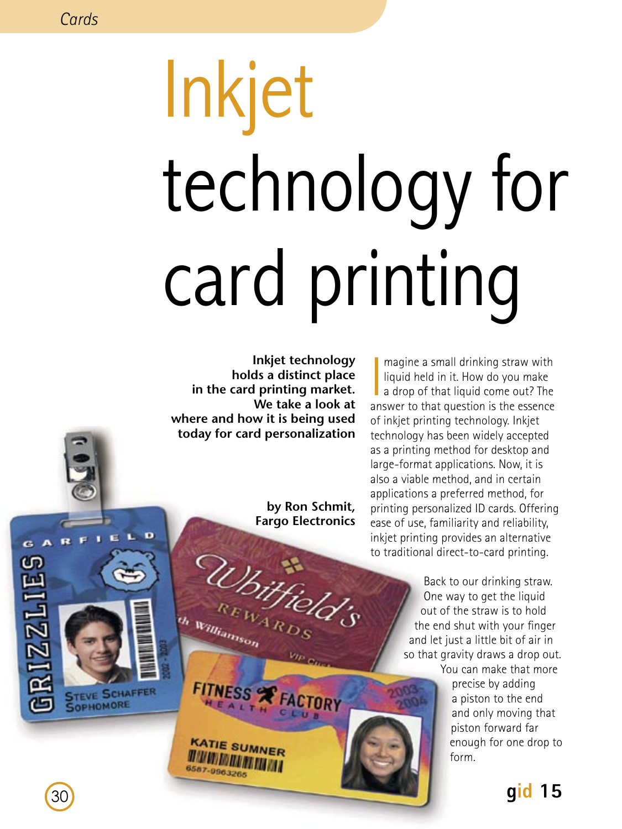GARE

**RIZZLIES** 

D

E. n.

**STEVE SCHAFFER** SOPHOMORE

# Inkjet technology for card printing

**Inkjet technology holds a distinct place in the card printing market. We take a look at where and how it is being used today for card personalization** 

> **by Ron Schmit, Fargo Electronics**

> > $v_{lp}$   $_{Cu}$

Whitfield's

FITNESS FACTORY

**KATIE SUMNER WWWWWWWWW** 6587-9963265

th Williamson

magine a small drinking straw with<br>liquid held in it. How do you make<br>a drop of that liquid come out? The<br>answer to that question is the essence magine a small drinking straw with liquid held in it. How do you make  $\blacksquare$  a drop of that liquid come out? The of inkjet printing technology. Inkjet technology has been widely accepted as a printing method for desktop and large-format applications. Now, it is also a viable method, and in certain applications a preferred method, for printing personalized ID cards. Offering ease of use, familiarity and reliability, inkjet printing provides an alternative to traditional direct-to-card printing.

> Back to our drinking straw. One way to get the liquid out of the straw is to hold the end shut with your finger and let just a little bit of air in so that gravity draws a drop out. You can make that more

> > precise by adding a piston to the end and only moving that piston forward far enough for one drop to form.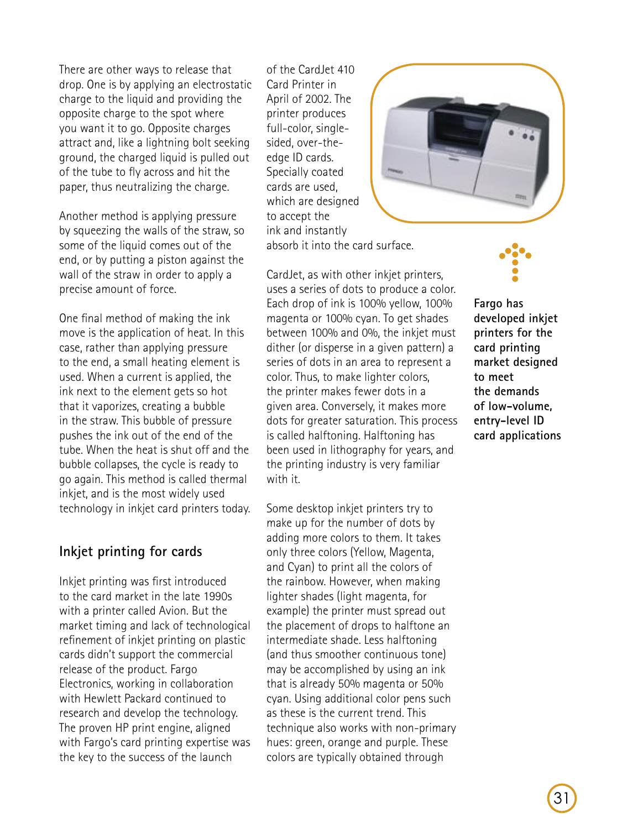There are other ways to release that drop. One is by applying an electrostatic charge to the liquid and providing the opposite charge to the spot where you want it to go. Opposite charges attract and, like a lightning bolt seeking ground, the charged liquid is pulled out of the tube to fly across and hit the paper, thus neutralizing the charge.

Another method is applying pressure by squeezing the walls of the straw, so some of the liquid comes out of the end, or by putting a piston against the wall of the straw in order to apply a precise amount of force.

One final method of making the ink move is the application of heat. In this case, rather than applying pressure to the end, a small heating element is used. When a current is applied, the ink next to the element gets so hot that it vaporizes, creating a bubble in the straw. This bubble of pressure pushes the ink out of the end of the tube. When the heat is shut off and the bubble collapses, the cycle is ready to go again. This method is called thermal inkjet, and is the most widely used technology in inkjet card printers today.

## **Inkjet printing for cards**

Inkjet printing was first introduced to the card market in the late 1990s with a printer called Avion. But the market timing and lack of technological refinement of inkjet printing on plastic cards didn't support the commercial release of the product. Fargo Electronics, working in collaboration with Hewlett Packard continued to research and develop the technology. The proven HP print engine, aligned with Fargo's card printing expertise was the key to the success of the launch

of the Card let 410 Card Printer in April of 2002. The printer produces full-color, singlesided, over-theedge ID cards. Specially coated cards are used, which are designed to accept the ink and instantly absorb it into the card surface.

CardJet, as with other inkjet printers, uses a series of dots to produce a color. Each drop of ink is 100% yellow, 100% magenta or 100% cyan. To get shades between 100% and 0%, the inkjet must dither (or disperse in a given pattern) a series of dots in an area to represent a color. Thus, to make lighter colors, the printer makes fewer dots in a given area. Conversely, it makes more dots for greater saturation. This process is called halftoning. Halftoning has been used in lithography for years, and the printing industry is very familiar with it.

Some desktop inkjet printers try to make up for the number of dots by adding more colors to them. It takes only three colors (Yellow, Magenta, and Cyan) to print all the colors of the rainbow. However, when making lighter shades (light magenta, for example) the printer must spread out the placement of drops to halftone an intermediate shade. Less halftoning (and thus smoother continuous tone) may be accomplished by using an ink that is already 50% magenta or 50% cyan. Using additional color pens such as these is the current trend. This technique also works with non-primary hues: green, orange and purple. These colors are typically obtained through





**Fargo has developed inkjet printers for the card printing market designed to meet the demands of low-volume, entry-level ID card applications**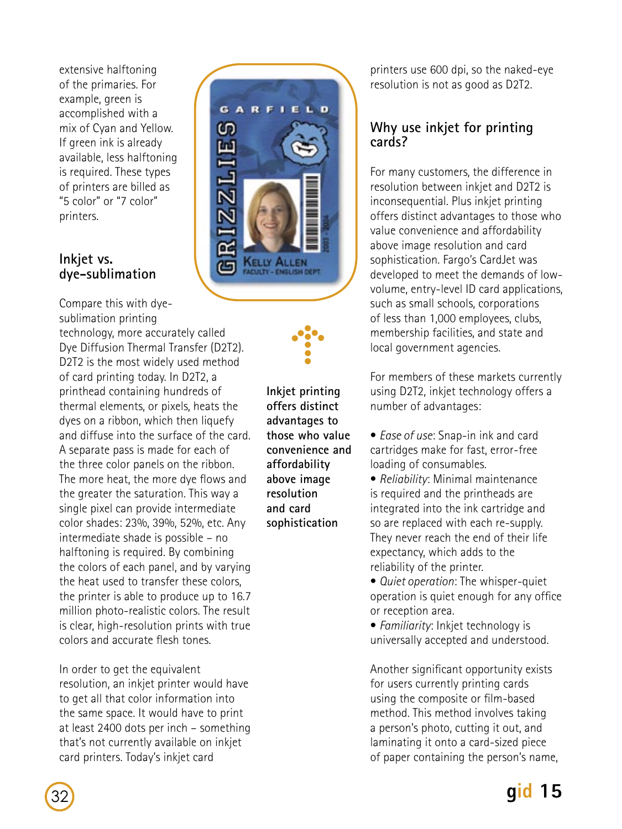extensive halftoning of the primaries. For example, green is accomplished with a mix of Cyan and Yellow. If green ink is already available, less halftoning is required. These types of printers are billed as "5 color" or "7 color" printers.

#### **Inkjet vs. dye-sublimation**

Compare this with dyesublimation printing technology, more accurately called Dye Diffusion Thermal Transfer (D2T2). D2T2 is the most widely used method of card printing today. In D2T2, a printhead containing hundreds of thermal elements, or pixels, heats the dyes on a ribbon, which then liquefy and diffuse into the surface of the card. A separate pass is made for each of the three color panels on the ribbon. The more heat, the more dye flows and the greater the saturation. This way a single pixel can provide intermediate color shades: 23%, 39%, 52%, etc. Any intermediate shade is possible – no halftoning is required. By combining the colors of each panel, and by varying the heat used to transfer these colors, the printer is able to produce up to 16.7 million photo-realistic colors. The result is clear, high-resolution prints with true colors and accurate flesh tones.

In order to get the equivalent resolution, an inkjet printer would have to get all that color information into the same space. It would have to print at least 2400 dots per inch – something that's not currently available on inkjet card printers. Today's inkjet card



**Inkjet printing offers distinct advantages to those who value convenience and affordability above image resolution and card sophistication**

printers use 600 dpi, so the naked-eye resolution is not as good as D2T2.

## **Why use inkjet for printing cards?**

For many customers, the difference in resolution between inkjet and D2T2 is inconsequential. Plus inkiet printing offers distinct advantages to those who value convenience and affordability above image resolution and card sophistication. Fargo's CardJet was developed to meet the demands of lowvolume, entry-level ID card applications, such as small schools, corporations of less than 1,000 employees, clubs, membership facilities, and state and local government agencies.

For members of these markets currently using D2T2, inkjet technology offers a number of advantages:

• *Ease of use*: Snap-in ink and card cartridges make for fast, error-free loading of consumables.

• *Reliability*: Minimal maintenance is required and the printheads are integrated into the ink cartridge and so are replaced with each re-supply. They never reach the end of their life expectancy, which adds to the reliability of the printer.

• *Quiet operation*: The whisper-quiet operation is quiet enough for any office or reception area.

• *Familiarity*: Inkjet technology is universally accepted and understood.

Another significant opportunity exists for users currently printing cards using the composite or film-based method. This method involves taking a person's photo, cutting it out, and laminating it onto a card-sized piece of paper containing the person's name,